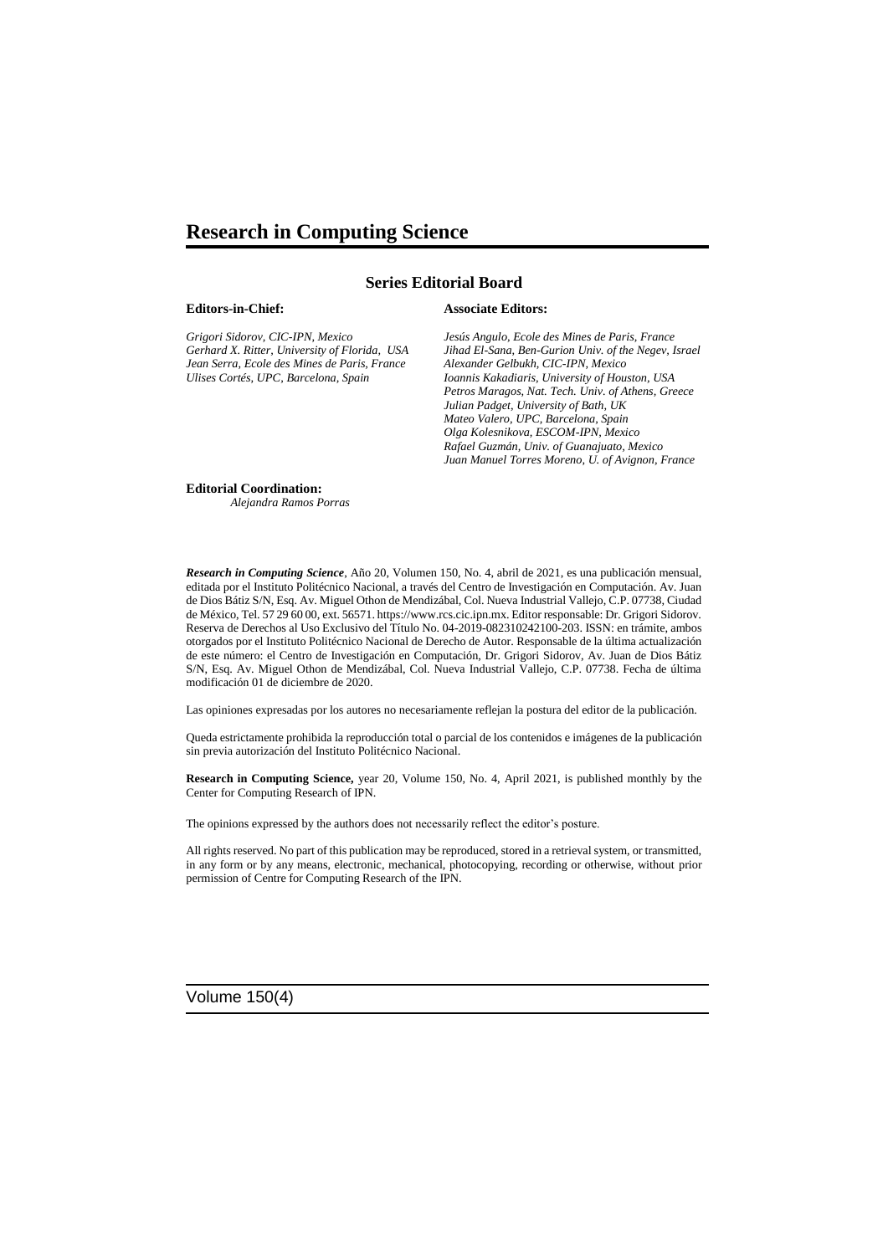## **Research in Computing Science**

### **Series Editorial Board**

#### **Editors-in-Chief:**

*Grigori Sidorov, CIC-IPN, Mexico Gerhard X. Ritter, University of Florida, USA Jean Serra, Ecole des Mines de Paris, France Ulises Cortés, UPC, Barcelona, Spain*

#### **Associate Editors:**

*Jesús Angulo, Ecole des Mines de Paris, France Jihad El-Sana, Ben-Gurion Univ. of the Negev, Israel Alexander Gelbukh, CIC-IPN, Mexico Ioannis Kakadiaris, University of Houston, USA Petros Maragos, Nat. Tech. Univ. of Athens, Greece Julian Padget, University of Bath, UK Mateo Valero, UPC, Barcelona, Spain Olga Kolesnikova, ESCOM-IPN, Mexico Rafael Guzmán, Univ. of Guanajuato, Mexico Juan Manuel Torres Moreno, U. of Avignon, France*

#### **Editorial Coordination:**

 *Alejandra Ramos Porras*

*Research in Computing Science*, Año 20, Volumen 150, No. 4, abril de 2021, es una publicación mensual, editada por el Instituto Politécnico Nacional, a través del Centro de Investigación en Computación. Av. Juan de Dios Bátiz S/N, Esq. Av. Miguel Othon de Mendizábal, Col. Nueva Industrial Vallejo, C.P. 07738, Ciudad de México, Tel. 57 29 60 00, ext. 56571. https://www.rcs.cic.ipn.mx. Editor responsable: Dr. Grigori Sidorov. Reserva de Derechos al Uso Exclusivo del Título No. 04-2019-082310242100-203. ISSN: en trámite, ambos otorgados por el Instituto Politécnico Nacional de Derecho de Autor. Responsable de la última actualización de este número: el Centro de Investigación en Computación, Dr. Grigori Sidorov, Av. Juan de Dios Bátiz S/N, Esq. Av. Miguel Othon de Mendizábal, Col. Nueva Industrial Vallejo, C.P. 07738. Fecha de última modificación 01 de diciembre de 2020.

Las opiniones expresadas por los autores no necesariamente reflejan la postura del editor de la publicación.

Queda estrictamente prohibida la reproducción total o parcial de los contenidos e imágenes de la publicación sin previa autorización del Instituto Politécnico Nacional.

**Research in Computing Science,** year 20, Volume 150, No. 4, April 2021, is published monthly by the Center for Computing Research of IPN.

The opinions expressed by the authors does not necessarily reflect the editor's posture.

All rights reserved. No part of this publication may be reproduced, stored in a retrieval system, or transmitted, in any form or by any means, electronic, mechanical, photocopying, recording or otherwise, without prior permission of Centre for Computing Research of the IPN.

Volume 150(4)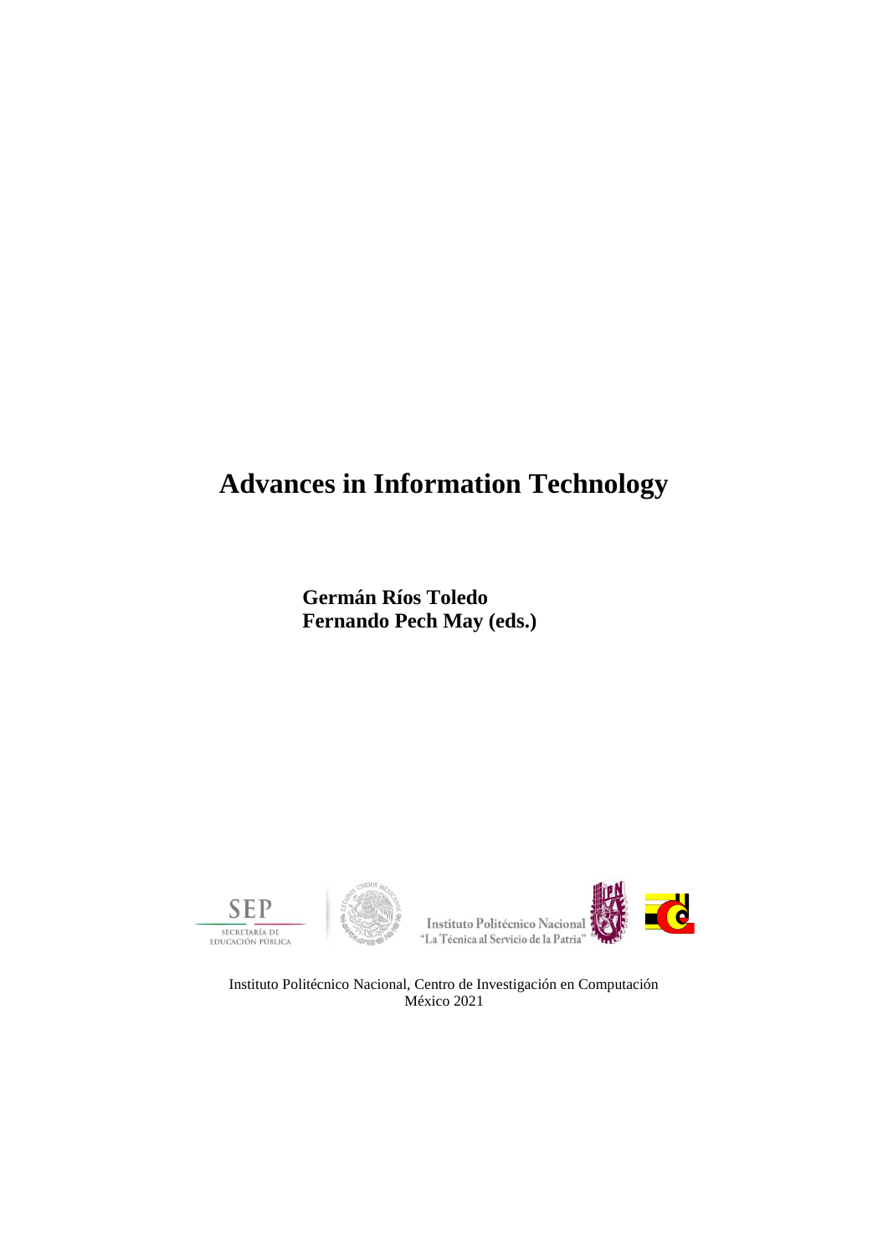# **Advances in Information Technology**

**Germán Ríos Toledo Fernando Pech May (eds.)**









Instituto Politécnico Nacional, Centro de Investigación en Computación México 2021